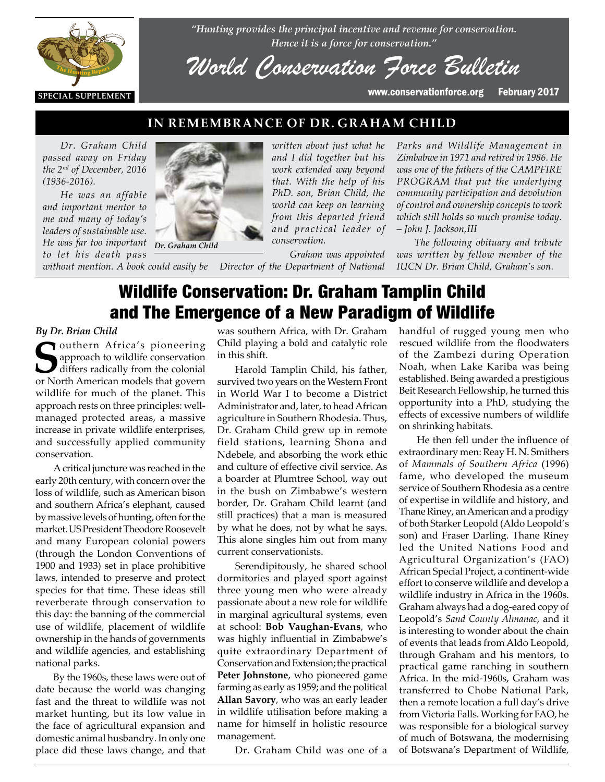

*"Hunting provides the principal incentive and revenue for conservation. Hence it is a force for conservation."*

*World Conservation Force Bulletin*

#### **IN REMEMBRANCE OF DR. GRAHAM CHILD**

*Dr. Graham Child passed away on Friday the 2nd of December, 2016 (1936-2016).*

*He was an affable and important mentor to me and many of today's leaders of sustainable use. He was far too important to let his death pass* 



*without mention. A book could easily be Director of the Department of National* 

*written about just what he and I did together but his work extended way beyond that. With the help of his PhD. son, Brian Child, the world can keep on learning from this departed friend and practical leader of conservation.*

*Graham was appointed* 

*Parks and Wildlife Management in Zimbabwe in 1971 and retired in 1986. He was one of the fathers of the CAMPFIRE PROGRAM that put the underlying community participation and devolution of control and ownership concepts to work which still holds so much promise today. – John J. Jackson,III*

*The following obituary and tribute was written by fellow member of the IUCN Dr. Brian Child, Graham's son.*

#### Wildlife Conservation: Dr. Graham Tamplin Child and The Emergence of a New Paradigm of Wildlife

# *By Dr. Brian Child*

**Southern Africa's pioneering<br>approach to wildlife conservation<br>or North American models that govern** approach to wildlife conservation differs radically from the colonial<br>or North American models that govern or North American models that govern wildlife for much of the planet. This approach rests on three principles: wellmanaged protected areas, a massive increase in private wildlife enterprises, and successfully applied community conservation.

> A critical juncture was reached in the early 20th century, with concern over the loss of wildlife, such as American bison and southern Africa's elephant, caused by massive levels of hunting, often for the market. US President Theodore Roosevelt and many European colonial powers (through the London Conventions of 1900 and 1933) set in place prohibitive laws, intended to preserve and protect species for that time. These ideas still reverberate through conservation to this day: the banning of the commercial use of wildlife, placement of wildlife ownership in the hands of governments and wildlife agencies, and establishing national parks.

> By the 1960s, these laws were out of date because the world was changing fast and the threat to wildlife was not market hunting, but its low value in the face of agricultural expansion and domestic animal husbandry. In only one place did these laws change, and that

was southern Africa, with Dr. Graham Child playing a bold and catalytic role in this shift.

Harold Tamplin Child, his father, survived two years on the Western Front in World War I to become a District Administrator and, later, to head African agriculture in Southern Rhodesia. Thus, Dr. Graham Child grew up in remote field stations, learning Shona and Ndebele, and absorbing the work ethic and culture of effective civil service. As a boarder at Plumtree School, way out in the bush on Zimbabwe's western border, Dr. Graham Child learnt (and still practices) that a man is measured by what he does, not by what he says. This alone singles him out from many current conservationists.

Serendipitously, he shared school dormitories and played sport against three young men who were already passionate about a new role for wildlife in marginal agricultural systems, even at school: **Bob Vaughan-Evans**, who was highly influential in Zimbabwe's quite extraordinary Department of Conservation and Extension; the practical **Peter Johnstone**, who pioneered game farming as early as 1959; and the political **Allan Savory**, who was an early leader in wildlife utilisation before making a name for himself in holistic resource management.

Dr. Graham Child was one of a

handful of rugged young men who rescued wildlife from the floodwaters of the Zambezi during Operation Noah, when Lake Kariba was being established. Being awarded a prestigious Beit Research Fellowship, he turned this opportunity into a PhD, studying the effects of excessive numbers of wildlife on shrinking habitats.

He then fell under the influence of extraordinary men: Reay H. N. Smithers of *Mammals of Southern Africa* (1996) fame, who developed the museum service of Southern Rhodesia as a centre of expertise in wildlife and history, and Thane Riney, an American and a prodigy of both Starker Leopold (Aldo Leopold's son) and Fraser Darling. Thane Riney led the United Nations Food and Agricultural Organization's (FAO) African Special Project, a continent-wide effort to conserve wildlife and develop a wildlife industry in Africa in the 1960s. Graham always had a dog-eared copy of Leopold's *Sand County Almanac*, and it is interesting to wonder about the chain of events that leads from Aldo Leopold, through Graham and his mentors, to practical game ranching in southern Africa. In the mid-1960s, Graham was transferred to Chobe National Park, then a remote location a full day's drive from Victoria Falls. Working for FAO, he was responsible for a biological survey of much of Botswana, the modernising of Botswana's Department of Wildlife,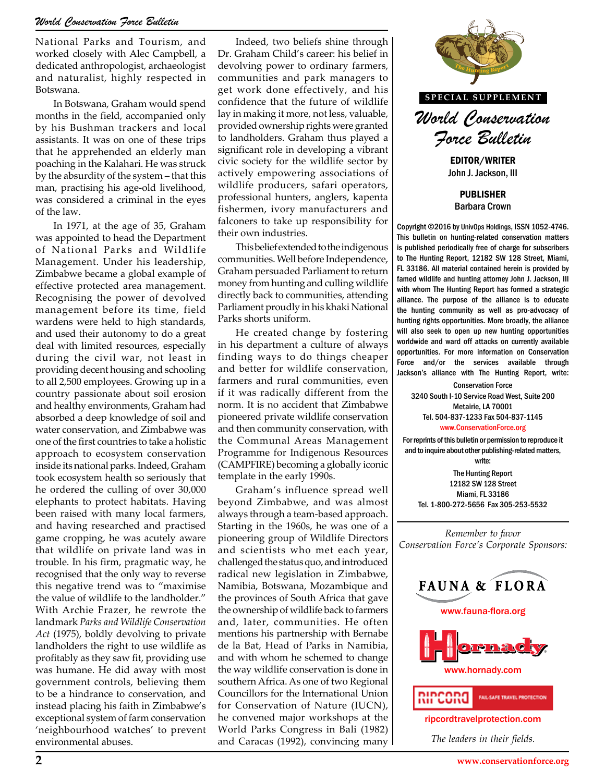National Parks and Tourism, and worked closely with Alec Campbell, a dedicated anthropologist, archaeologist and naturalist, highly respected in Botswana.

In Botswana, Graham would spend months in the field, accompanied only by his Bushman trackers and local assistants. It was on one of these trips that he apprehended an elderly man poaching in the Kalahari. He was struck by the absurdity of the system – that this man, practising his age-old livelihood, was considered a criminal in the eyes of the law.

In 1971, at the age of 35, Graham was appointed to head the Department of National Parks and Wildlife Management. Under his leadership, Zimbabwe became a global example of effective protected area management. Recognising the power of devolved management before its time, field wardens were held to high standards, and used their autonomy to do a great deal with limited resources, especially during the civil war, not least in providing decent housing and schooling to all 2,500 employees. Growing up in a country passionate about soil erosion and healthy environments, Graham had absorbed a deep knowledge of soil and water conservation, and Zimbabwe was one of the first countries to take a holistic approach to ecosystem conservation inside its national parks. Indeed, Graham took ecosystem health so seriously that he ordered the culling of over 30,000 elephants to protect habitats. Having been raised with many local farmers, and having researched and practised game cropping, he was acutely aware that wildlife on private land was in trouble. In his firm, pragmatic way, he recognised that the only way to reverse this negative trend was to "maximise the value of wildlife to the landholder." With Archie Frazer, he rewrote the landmark *Parks and Wildlife Conservation Act* (1975), boldly devolving to private landholders the right to use wildlife as profitably as they saw fit, providing use was humane. He did away with most government controls, believing them to be a hindrance to conservation, and instead placing his faith in Zimbabwe's exceptional system of farm conservation 'neighbourhood watches' to prevent environmental abuses.

Indeed, two beliefs shine through Dr. Graham Child's career: his belief in devolving power to ordinary farmers, communities and park managers to get work done effectively, and his confidence that the future of wildlife lay in making it more, not less, valuable, provided ownership rights were granted to landholders. Graham thus played a significant role in developing a vibrant civic society for the wildlife sector by actively empowering associations of wildlife producers, safari operators, professional hunters, anglers, kapenta fishermen, ivory manufacturers and falconers to take up responsibility for their own industries.

This belief extended to the indigenous communities. Well before Independence, Graham persuaded Parliament to return money from hunting and culling wildlife directly back to communities, attending Parliament proudly in his khaki National Parks shorts uniform.

He created change by fostering in his department a culture of always finding ways to do things cheaper and better for wildlife conservation, farmers and rural communities, even if it was radically different from the norm. It is no accident that Zimbabwe pioneered private wildlife conservation and then community conservation, with the Communal Areas Management Programme for Indigenous Resources (CAMPFIRE) becoming a globally iconic template in the early 1990s.

Graham's influence spread well beyond Zimbabwe, and was almost always through a team-based approach. Starting in the 1960s, he was one of a pioneering group of Wildlife Directors and scientists who met each year, challenged the status quo, and introduced radical new legislation in Zimbabwe, Namibia, Botswana, Mozambique and the provinces of South Africa that gave the ownership of wildlife back to farmers and, later, communities. He often mentions his partnership with Bernabe de la Bat, Head of Parks in Namibia, and with whom he schemed to change the way wildlife conservation is done in southern Africa. As one of two Regional Councillors for the International Union for Conservation of Nature (IUCN), he convened major workshops at the World Parks Congress in Bali (1982) and Caracas (1992), convincing many



**SPECIAL SUPPLEMENT**

*World Conservation Force Bulletin*

EDITOR/WRITER John J. Jackson, III

PUBLISHER Barbara Crown

Copyright ©2016 by UnivOps Holdings, ISSN 1052-4746. This bulletin on hunting-related conservation matters is published periodically free of charge for subscribers to The Hunting Report, 12182 SW 128 Street, Miami, FL 33186. All material contained herein is provided by famed wildlife and hunting attorney John J. Jackson, III with whom The Hunting Report has formed a strategic alliance. The purpose of the alliance is to educate the hunting community as well as pro-advocacy of hunting rights opportunities. More broadly, the alliance a by fostering unting rights opportunities. More broadly, the alliance<br>Let by fostering will also seek to open up new hunting opportunities<br>Morldwide and ward off attacks on currently available worldwide and ward off attacks on currently available opportunities. For more information on Conservation Force and/or the services available through Processors alliance with The Hunting Report, write:<br> **THE HUNTING REPORT**<br> **THE CONSERVATION FORCE** 

Conservation Force 3240 South I-10 Service Road West, Suite 200 Metairie, LA 70001 Tel. 504-837-1233 Fax 504-837-1145 www.ConservationForce.org

For reprints of this bulletin or permission to reproduce it and to inquire about other publishing-related matters, write:

The Hunting Report 12182 SW 128 Street Miami, FL 33186 Tel. 1-800-272-5656 Fax 305-253-5532

*Remember to favor Conservation Force's Corporate Sponsors:*



ripcordtravelprotection.com

*The leaders in their fields.*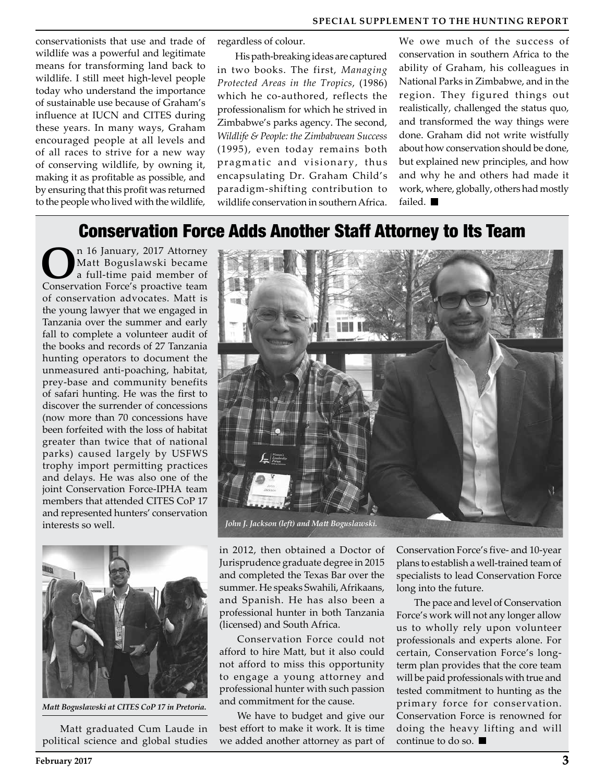conservationists that use and trade of wildlife was a powerful and legitimate means for transforming land back to wildlife. I still meet high-level people today who understand the importance of sustainable use because of Graham's influence at IUCN and CITES during these years. In many ways, Graham encouraged people at all levels and of all races to strive for a new way of conserving wildlife, by owning it, making it as profitable as possible, and by ensuring that this profit was returned to the people who lived with the wildlife,

regardless of colour.

His path-breaking ideas are captured in two books. The first, *Managing Protected Areas in the Tropics*, (1986) which he co-authored, reflects the professionalism for which he strived in Zimbabwe's parks agency. The second, *Wildlife & People: the Zimbabwean Success*  (1995), even today remains both pragmatic and visionary, thus encapsulating Dr. Graham Child's paradigm-shifting contribution to wildlife conservation in southern Africa. We owe much of the success of conservation in southern Africa to the ability of Graham, his colleagues in National Parks in Zimbabwe, and in the region. They figured things out realistically, challenged the status quo, and transformed the way things were done. Graham did not write wistfully about how conservation should be done, but explained new principles, and how and why he and others had made it work, where, globally, others had mostly failed.

#### Conservation Force Adds Another Staff Attorney to Its Team

**O**n 16 January, 2017 Attorney Matt Boguslawski became a full-time paid member of Conservation Force's proactive team of conservation advocates. Matt is the young lawyer that we engaged in Tanzania over the summer and early fall to complete a volunteer audit of the books and records of 27 Tanzania hunting operators to document the unmeasured anti-poaching, habitat, prey-base and community benefits of safari hunting. He was the first to discover the surrender of concessions (now more than 70 concessions have been forfeited with the loss of habitat greater than twice that of national parks) caused largely by USFWS trophy import permitting practices and delays. He was also one of the joint Conservation Force-IPHA team members that attended CITES CoP 17 and represented hunters' conservation interests so well.



*Matt Boguslawski at CITES CoP 17 in Pretoria.*

Matt graduated Cum Laude in political science and global studies



in 2012, then obtained a Doctor of Jurisprudence graduate degree in 2015 and completed the Texas Bar over the summer. He speaks Swahili, Afrikaans, and Spanish. He has also been a professional hunter in both Tanzania (licensed) and South Africa.

Conservation Force could not afford to hire Matt, but it also could not afford to miss this opportunity to engage a young attorney and professional hunter with such passion and commitment for the cause.

We have to budget and give our best effort to make it work. It is time we added another attorney as part of

Conservation Force's five- and 10-year plans to establish a well-trained team of specialists to lead Conservation Force long into the future.

The pace and level of Conservation Force's work will not any longer allow us to wholly rely upon volunteer professionals and experts alone. For certain, Conservation Force's longterm plan provides that the core team will be paid professionals with true and tested commitment to hunting as the primary force for conservation. Conservation Force is renowned for doing the heavy lifting and will continue to do so.